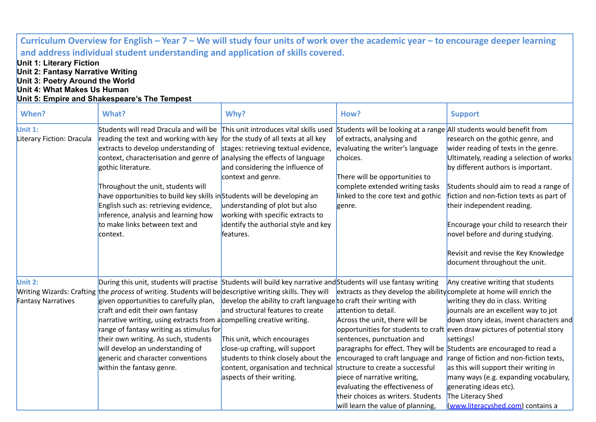| Curriculum Overview for English – Year 7 – We will study four units of work over the academic year – to encourage deeper learning                                                                                                                                         |                                                                                                                                                                                                                                                                                                                                                                                                                                                                                                                                                                               |                                                                                                                                                                                                                                                                                     |                                                                                                                                                                                                                                                                                                                                                                                    |                                                                                                                                                                                                                                                                                                                                                                                                                                                                                                                                                |  |  |
|---------------------------------------------------------------------------------------------------------------------------------------------------------------------------------------------------------------------------------------------------------------------------|-------------------------------------------------------------------------------------------------------------------------------------------------------------------------------------------------------------------------------------------------------------------------------------------------------------------------------------------------------------------------------------------------------------------------------------------------------------------------------------------------------------------------------------------------------------------------------|-------------------------------------------------------------------------------------------------------------------------------------------------------------------------------------------------------------------------------------------------------------------------------------|------------------------------------------------------------------------------------------------------------------------------------------------------------------------------------------------------------------------------------------------------------------------------------------------------------------------------------------------------------------------------------|------------------------------------------------------------------------------------------------------------------------------------------------------------------------------------------------------------------------------------------------------------------------------------------------------------------------------------------------------------------------------------------------------------------------------------------------------------------------------------------------------------------------------------------------|--|--|
| and address individual student understanding and application of skills covered.<br><b>Unit 1: Literary Fiction</b><br>Unit 2: Fantasy Narrative Writing<br>Unit 3: Poetry Around the World<br>Unit 4: What Makes Us Human<br>Unit 5: Empire and Shakespeare's The Tempest |                                                                                                                                                                                                                                                                                                                                                                                                                                                                                                                                                                               |                                                                                                                                                                                                                                                                                     |                                                                                                                                                                                                                                                                                                                                                                                    |                                                                                                                                                                                                                                                                                                                                                                                                                                                                                                                                                |  |  |
| When?                                                                                                                                                                                                                                                                     | What?                                                                                                                                                                                                                                                                                                                                                                                                                                                                                                                                                                         | Why?                                                                                                                                                                                                                                                                                | How?                                                                                                                                                                                                                                                                                                                                                                               | <b>Support</b>                                                                                                                                                                                                                                                                                                                                                                                                                                                                                                                                 |  |  |
| Unit 1:<br>Literary Fiction: Dracula                                                                                                                                                                                                                                      | Students will read Dracula and will be This unit introduces vital skills used<br>reading the text and working with key for the study of all texts at all key<br>extracts to develop understanding of<br>context, characterisation and genre of analysing the effects of language<br>gothic literature.<br>Throughout the unit, students will<br>have opportunities to build key skills inStudents will be developing an<br>English such as: retrieving evidence,<br>inference, analysis and learning how<br>to make links between text and<br>context.                        | stages: retrieving textual evidence,<br>and considering the influence of<br>context and genre.<br>understanding of plot but also<br>working with specific extracts to<br>identify the authorial style and key<br>features.                                                          | Students will be looking at a range All students would benefit from<br>of extracts, analysing and<br>evaluating the writer's language<br>choices.<br>There will be opportunities to<br>complete extended writing tasks<br>linked to the core text and gothic<br>genre.                                                                                                             | research on the gothic genre, and<br>wider reading of texts in the genre.<br>Ultimately, reading a selection of works<br>by different authors is important.<br>Students should aim to read a range of<br>fiction and non-fiction texts as part of<br>their independent reading.<br>Encourage your child to research their<br>novel before and during studying.<br>Revisit and revise the Key Knowledge<br>document throughout the unit.                                                                                                        |  |  |
| Unit 2:<br><b>Fantasy Narratives</b>                                                                                                                                                                                                                                      | During this unit, students will practise Students will build key narrative and Students will use fantasy writing<br>Writing Wizards: Crafting the process of writing. Students will be descriptive writing skills. They will<br>given opportunities to carefully plan,<br>craft and edit their own fantasy<br>narrative writing, using extracts from a compelling creative writing.<br>range of fantasy writing as stimulus for<br>their own writing. As such, students<br>will develop an understanding of<br>generic and character conventions<br>within the fantasy genre. | develop the ability to craft language to craft their writing with<br>and structural features to create<br>This unit, which encourages<br>close-up crafting, will support<br>students to think closely about the<br>content, organisation and technical<br>aspects of their writing. | extracts as they develop the ability complete at home will enrich the<br>attention to detail.<br>Across the unit, there will be<br>sentences, punctuation and<br>encouraged to craft language and<br>structure to create a successful<br>piece of narrative writing,<br>evaluating the effectiveness of<br>their choices as writers. Students<br>will learn the value of planning, | Any creative writing that students<br>writing they do in class. Writing<br>journals are an excellent way to jot<br>down story ideas, invent characters and<br>opportunities for students to craft even draw pictures of potential story<br>settings!<br>paragraphs for effect. They will be Students are encouraged to read a<br>range of fiction and non-fiction texts,<br>as this will support their writing in<br>many ways (e.g. expanding vocabulary,<br>generating ideas etc).<br>The Literacy Shed<br>(www.literacyshed.com) contains a |  |  |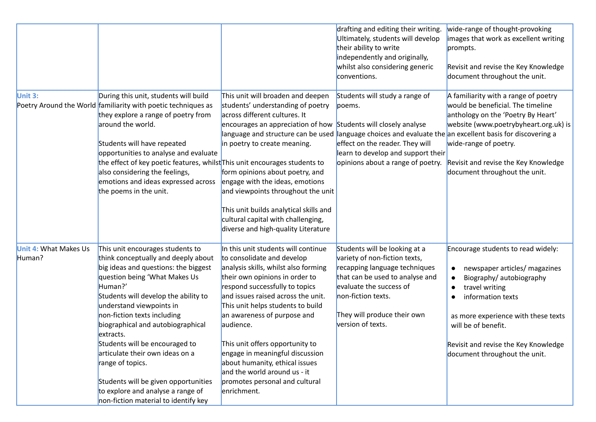|                                        |                                                                                                                                                                                                                                                                                                                                                                                                                                                                                                                                |                                                                                                                                                                                                                                                                                                                                                                                                                                                                                                                                                            | drafting and editing their writing.<br>Ultimately, students will develop<br>their ability to write<br>independently and originally,<br>whilst also considering generic<br>conventions.                                                  | wide-range of thought-provoking<br>images that work as excellent writing<br>prompts.<br>Revisit and revise the Key Knowledge<br>document throughout the unit.                                                                                                                                                                     |
|----------------------------------------|--------------------------------------------------------------------------------------------------------------------------------------------------------------------------------------------------------------------------------------------------------------------------------------------------------------------------------------------------------------------------------------------------------------------------------------------------------------------------------------------------------------------------------|------------------------------------------------------------------------------------------------------------------------------------------------------------------------------------------------------------------------------------------------------------------------------------------------------------------------------------------------------------------------------------------------------------------------------------------------------------------------------------------------------------------------------------------------------------|-----------------------------------------------------------------------------------------------------------------------------------------------------------------------------------------------------------------------------------------|-----------------------------------------------------------------------------------------------------------------------------------------------------------------------------------------------------------------------------------------------------------------------------------------------------------------------------------|
| Unit 3:                                | During this unit, students will build<br>Poetry Around the World familiarity with poetic techniques as<br>they explore a range of poetry from<br>around the world.<br>Students will have repeated<br>opportunities to analyse and evaluate<br>the effect of key poetic features, whilst This unit encourages students to<br>also considering the feelings,<br>emotions and ideas expressed across<br>the poems in the unit.                                                                                                    | This unit will broaden and deepen<br>students' understanding of poetry<br>across different cultures. It<br>encourages an appreciation of how Students will closely analyse<br>language and structure can be used language choices and evaluate the an excellent basis for discovering a<br>in poetry to create meaning.<br>form opinions about poetry, and<br>engage with the ideas, emotions<br>and viewpoints throughout the unit<br>This unit builds analytical skills and<br>cultural capital with challenging,<br>diverse and high-quality Literature | Students will study a range of<br>poems.<br>effect on the reader. They will<br>learn to develop and support their<br>opinions about a range of poetry.                                                                                  | A familiarity with a range of poetry<br>would be beneficial. The timeline<br>anthology on the 'Poetry By Heart'<br>website (www.poetrybyheart.org.uk) is<br>wide-range of poetry.<br>Revisit and revise the Key Knowledge<br>document throughout the unit.                                                                        |
| <b>Unit 4: What Makes Us</b><br>Human? | This unit encourages students to<br>think conceptually and deeply about<br>big ideas and questions: the biggest<br>question being 'What Makes Us<br>Human?'<br>Students will develop the ability to<br>understand viewpoints in<br>non-fiction texts including<br>biographical and autobiographical<br>extracts.<br>Students will be encouraged to<br>articulate their own ideas on a<br>range of topics.<br>Students will be given opportunities<br>to explore and analyse a range of<br>non-fiction material to identify key | In this unit students will continue<br>to consolidate and develop<br>analysis skills, whilst also forming<br>their own opinions in order to<br>respond successfully to topics<br>and issues raised across the unit.<br>This unit helps students to build<br>an awareness of purpose and<br>audience.<br>This unit offers opportunity to<br>engage in meaningful discussion<br>about humanity, ethical issues<br>and the world around us - it<br>promotes personal and cultural<br>enrichment.                                                              | Students will be looking at a<br>variety of non-fiction texts,<br>recapping language techniques<br>that can be used to analyse and<br>evaluate the success of<br>non-fiction texts.<br>They will produce their own<br>version of texts. | Encourage students to read widely:<br>newspaper articles/ magazines<br>$\bullet$<br>Biography/ autobiography<br>$\bullet$<br>travel writing<br>$\bullet$<br>information texts<br>$\bullet$<br>as more experience with these texts<br>will be of benefit.<br>Revisit and revise the Key Knowledge<br>document throughout the unit. |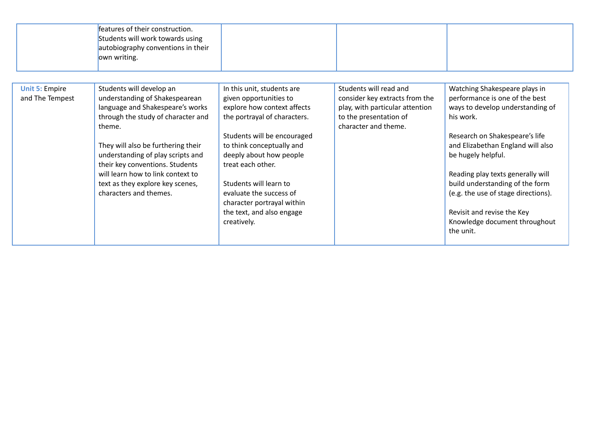|                                          | features of their construction.<br>Students will work towards using<br>autobiography conventions in their<br>own writing.                                                                                                                                                                                                                                       |                                                                                                                                                                                                                                                                                                                                                                |                                                                                                                                               |                                                                                                                                                                                                                                                                                                                                                                                                          |
|------------------------------------------|-----------------------------------------------------------------------------------------------------------------------------------------------------------------------------------------------------------------------------------------------------------------------------------------------------------------------------------------------------------------|----------------------------------------------------------------------------------------------------------------------------------------------------------------------------------------------------------------------------------------------------------------------------------------------------------------------------------------------------------------|-----------------------------------------------------------------------------------------------------------------------------------------------|----------------------------------------------------------------------------------------------------------------------------------------------------------------------------------------------------------------------------------------------------------------------------------------------------------------------------------------------------------------------------------------------------------|
| <b>Unit 5: Empire</b><br>and The Tempest | Students will develop an<br>understanding of Shakespearean<br>language and Shakespeare's works<br>through the study of character and<br>theme.<br>They will also be furthering their<br>understanding of play scripts and<br>their key conventions. Students<br>will learn how to link context to<br>text as they explore key scenes,<br>characters and themes. | In this unit, students are<br>given opportunities to<br>explore how context affects<br>the portrayal of characters.<br>Students will be encouraged<br>to think conceptually and<br>deeply about how people<br>treat each other.<br>Students will learn to<br>evaluate the success of<br>character portrayal within<br>the text, and also engage<br>creatively. | Students will read and<br>consider key extracts from the<br>play, with particular attention<br>to the presentation of<br>character and theme. | Watching Shakespeare plays in<br>performance is one of the best<br>ways to develop understanding of<br>his work.<br>Research on Shakespeare's life<br>and Elizabethan England will also<br>be hugely helpful.<br>Reading play texts generally will<br>build understanding of the form<br>(e.g. the use of stage directions).<br>Revisit and revise the Key<br>Knowledge document throughout<br>the unit. |